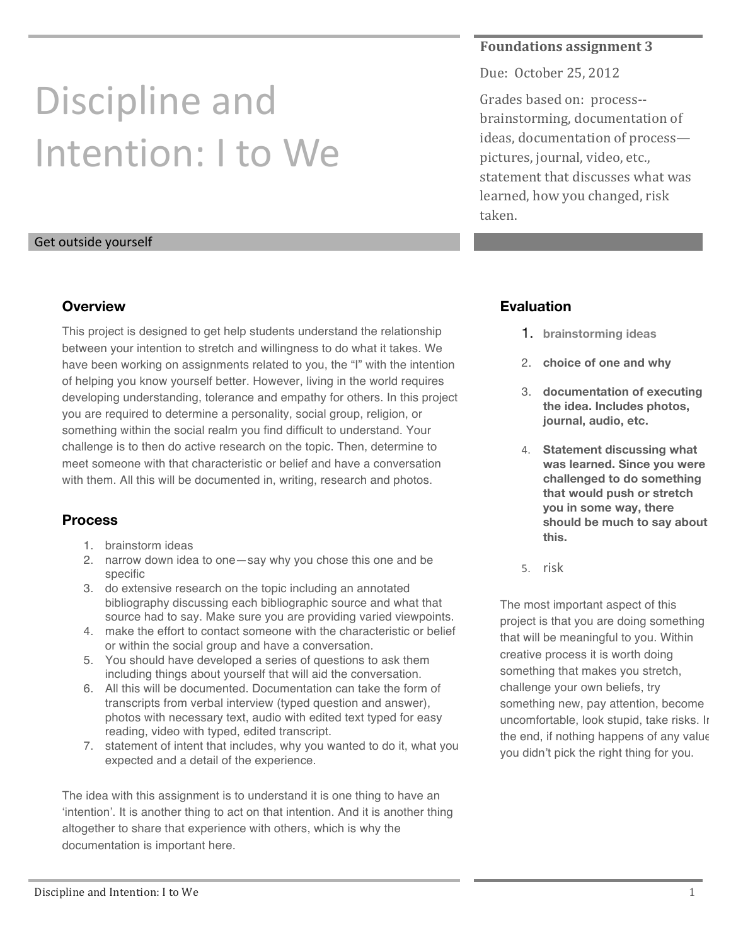# Discipline and Intention: I to We

### **Foundations assignment 3**

Due: October 25, 2012

Grades based on: process-brainstorming, documentation of ideas, documentation of processpictures, journal, video, etc., statement that discusses what was learned, how you changed, risk taken.

#### Get outside yourself

#### **Overview**

This project is designed to get help students understand the relationship between your intention to stretch and willingness to do what it takes. We have been working on assignments related to you, the "I" with the intention of helping you know yourself better. However, living in the world requires developing understanding, tolerance and empathy for others. In this project you are required to determine a personality, social group, religion, or something within the social realm you find difficult to understand. Your challenge is to then do active research on the topic. Then, determine to meet someone with that characteristic or belief and have a conversation with them. All this will be documented in, writing, research and photos.

## **Process**

- 1. brainstorm ideas
- 2. narrow down idea to one—say why you chose this one and be specific
- 3. do extensive research on the topic including an annotated bibliography discussing each bibliographic source and what that source had to say. Make sure you are providing varied viewpoints.
- 4. make the effort to contact someone with the characteristic or belief or within the social group and have a conversation.
- 5. You should have developed a series of questions to ask them including things about yourself that will aid the conversation.
- 6. All this will be documented. Documentation can take the form of transcripts from verbal interview (typed question and answer), photos with necessary text, audio with edited text typed for easy reading, video with typed, edited transcript.
- 7. statement of intent that includes, why you wanted to do it, what you expected and a detail of the experience.

The idea with this assignment is to understand it is one thing to have an 'intention'. It is another thing to act on that intention. And it is another thing altogether to share that experience with others, which is why the documentation is important here.

## **Evaluation**

- 1. **brainstorming ideas**
- 2. **choice of one and why**
- 3. **documentation of executing the idea. Includes photos, journal, audio, etc.**
- 4. **Statement discussing what was learned. Since you were challenged to do something that would push or stretch you in some way, there should be much to say about this.**
- 5. risk

The most important aspect of this project is that you are doing something that will be meaningful to you. Within creative process it is worth doing something that makes you stretch, challenge your own beliefs, try something new, pay attention, become uncomfortable, look stupid, take risks. In the end, if nothing happens of any value you didn't pick the right thing for you.